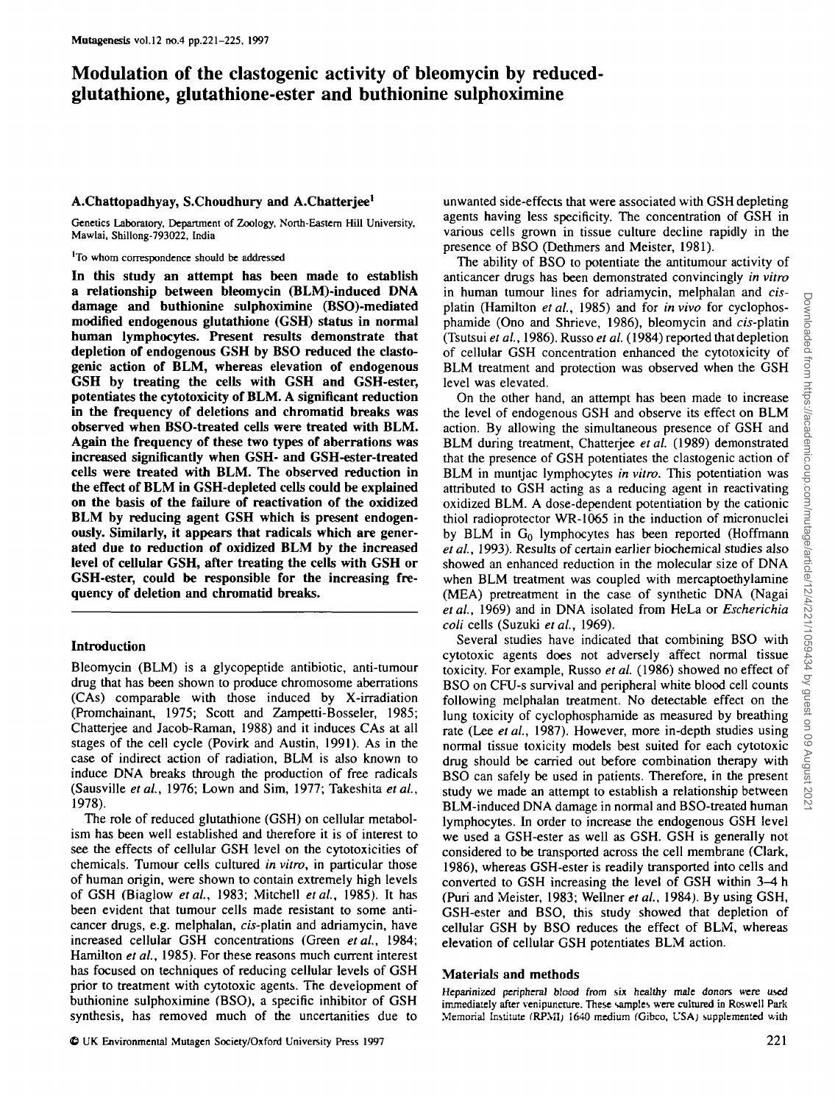# Modulation of the clastogenic activity of bleomycin by reducedglutathione, glutathione-ester and buthionine sulphoximine

## **A.Chattopadhyay, S.Choudhury and A.Chatterjee<sup>1</sup>**

Genetics Laboratory, Department of Zoology, North-Eastem Hill University, Mawlai, Shillong-793022, India

'To whom correspondence should be addressed

**In this study an attempt has been made to establish a relationship between bleomycin (BLM)-induced DNA damage and buthionine sulphoximine (BSO)-mediated modified endogenous glutathione (GSH) status in normal human lymphocytes. Present results demonstrate that depletion of endogenous GSH by BSO reduced the clastogenic action of BLM, whereas elevation of endogenous GSH by treating the cells with GSH and GSH-ester, potentiates the cytotoxicity of BLM. A significant reduction in the frequency of deletions and chromatid breaks was observed when BSO-treated cells were treated with BLM. Again the frequency of these two types of aberrations was increased significantly when GSH- and GSH-ester-treated cells were treated with BLM. The observed reduction in the effect of BLM in GSH-depleted cells could be explained on the basis of the failure of reactivation of the oxidized BLM by reducing agent GSH which is present endogenously. Similarly, it appears that radicals which are generated due to reduction of oxidized BLM by the increased level of cellular GSH, after treating the cells with GSH or GSH-ester, could be responsible for the increasing frequency of deletion and chromatid breaks.**

## **Introduction**

Bleomycin (BLM) is a glycopeptide antibiotic, anti-tumour drug that has been shown to produce chromosome aberrations (CAs) comparable with those induced by X-irradiation (Promchainant, 1975; Scott and Zampetti-Bosseler, 1985; Chatterjee and Jacob-Raman, 1988) and it induces CAs at all stages of the cell cycle (Povirk and Austin, 1991). As in the case of indirect action of radiation, BLM is also known to induce DNA breaks through the production of free radicals (Sausville *etai,* 1976; Lown and Sim, 1977; Takeshita *etai,* 1978).

The role of reduced glutathione (GSH) on cellular metabolism has been well established and therefore it is of interest to see the effects of cellular GSH level on the cytotoxicities of chemicals. Tumour cells cultured *in vitro,* in particular those of human origin, were shown to contain extremely high levels of GSH (Biaglow *etal.,* 1983; Mitchell *etai,* 1985). It has been evident that tumour cells made resistant to some anticancer drugs, e.g. melphalan, cis-platin and adriamycin, have increased cellular GSH concentrations (Green *etal.,* 1984; Hamilton *et al.,* 1985). For these reasons much current interest has focused on techniques of reducing cellular levels of GSH prior to treatment with cytotoxic agents. The development of buthionine sulphoximine (BSO), a specific inhibitor of GSH synthesis, has removed much of the uncertanities due to

unwanted side-effects that were associated with GSH depleting agents having less specificity. The concentration of GSH in various cells grown in tissue culture decline rapidly in the presence of BSO (Dethmers and Meister, 1981).

The ability of BSO to potentiate the antitumour activity of anticancer drugs has been demonstrated convincingly *in vitro* in human tumour lines for adriamycin, melphalan and *cis*platin (Hamilton *etal.,* 1985) and for *in vivo* for cyclophosphamide (Ono and Shrieve, 1986), bleomycin and cis-platin (Tsutsui *et al,* 1986). Russo *et al.* (1984) reported that depletion of cellular GSH concentration enhanced the cytotoxicity of BLM treatment and protection was observed when the GSH level was elevated.

On the other hand, an attempt has been made to increase the level of endogenous GSH and observe its effect on BLM action. By allowing the simultaneous presence of GSH and BLM during treatment, Chatterjee et al. (1989) demonstrated that the presence of GSH potentiates the clastogenic action of BLM in muntjac lymphocytes *in vitro.* This potentiation was attributed to GSH acting as a reducing agent in reactivating oxidized BLM. A dose-dependent potentiation by the cationic thiol radioprotector WR-1065 in the induction of micronuclei by BLM in  $G_0$  lymphocytes has been reported (Hoffmann *etal.,* 1993). Results of certain earlier biochemical studies also showed an enhanced reduction in die molecular size of DNA when BLM treatment was coupled with mercaptoethylamine (MEA) pretreatment in the case of synthetic DNA (Nagai *etai,* 1969) and in DNA isolated from HeLa or *Escherichia coli* cells (Suzuki *etai,* 1969).

Several studies have indicated that combining BSO with cytotoxic agents does not adversely affect normal tissue toxicity. For example, Russo *et al.* (1986) showed no effect of BSO on CFU-s survival and peripheral white blood cell counts following melphalan treatment. No detectable effect on the lung toxicity of cyclophosphamide as measured by breathing rate (Lee et al., 1987). However, more in-depth studies using normal tissue toxicity models best suited for each cytotoxic drug should be carried out before combination therapy with BSO can safely be used in patients. Therefore, in the present study we made an attempt to establish a relationship between BLM-induced DNA damage in normal and BSO-treated human lymphocytes. In order to increase the endogenous GSH level we used a GSH-ester as well as GSH. GSH is generally not considered to be transported across the cell membrane (Clark, 1986), whereas GSH-ester is readily transported into cells and converted to GSH increasing the level of GSH within 3-4 h (Puri and Meister, 1983; Wellner *et ai,* 1984). By using GSH, GSH-ester and BSO, this study showed that depletion of cellular GSH by BSO reduces the effect of BLM, whereas elevation of cellular GSH potentiates BLM action.

## **Materials and methods**

Heparinized peripheral blood from six healthy male donors were used immediately after venipuncture. These samples were cultured in Roswell Park Memorial Institute (RPMI) 1640 medium (Gibco, USA) supplemented with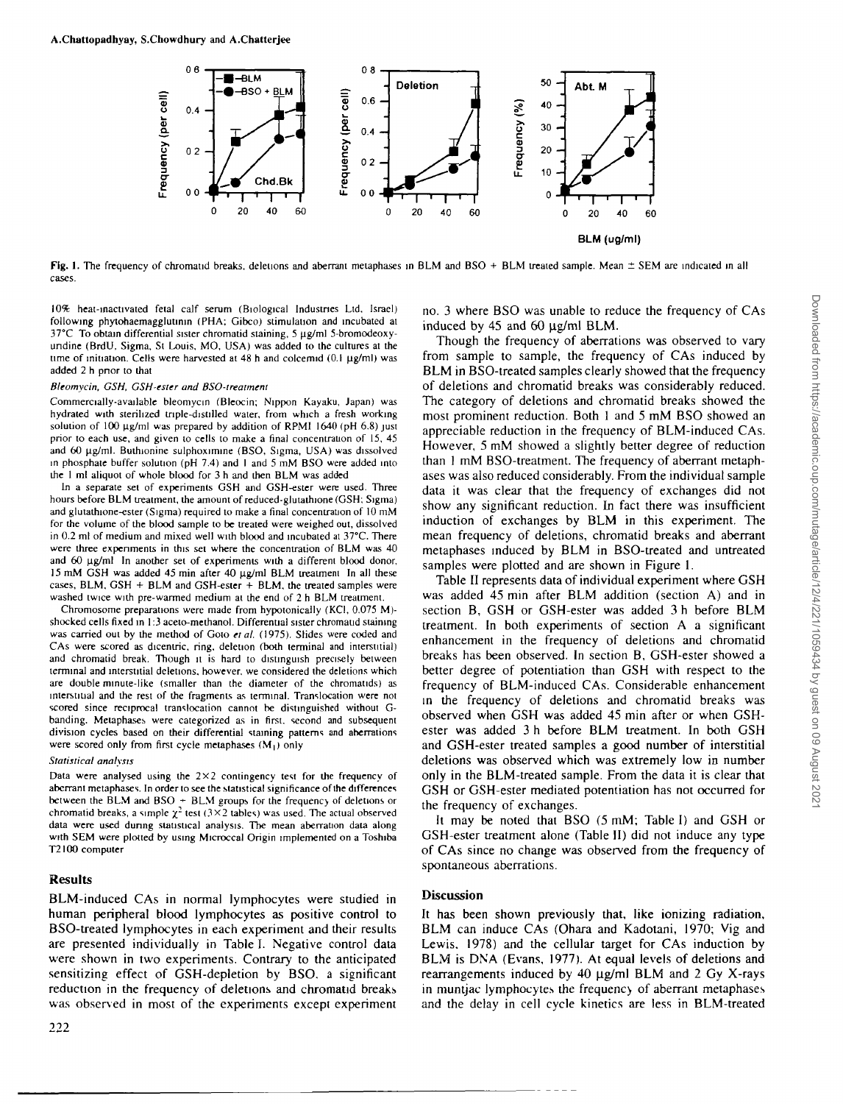

**Fig.** 1. The frequency of chromatid breaks, deletions and aberrant metaphases in BLM and BSO + BLM treated sample. Mean ± SEM are indicated in all cases.

10% heat-inactivated fetal calf serum (Biological Industries Ltd, Israel) following phytohaemagglutinin (PHA; Gibco) stimulation and incubated at  $37^{\circ}$ C To obtain differential sister chromatid staining, 5  $\mu$ g/ml 5-bromodeoxyundine (BrdU, Sigma, St Louis, MO, USA) was added to the cultures at the time of initiation. Cells were harvested at 48 h and colcemid (0.1 ug/ml) was added 2 h prior to that

### *Bleomycin, GSH, GSH-tster and BSO-treatment*

Commercially-available bleomycin (Bleocin; Nippon Kayaku, Japan) was hydrated with sterilized tnple-distilled water, from which a fresh working solution of 100 µg/ml was prepared by addition of RPMI 1640 (pH 6.8) just prior to each use, and given to cells to make a final concentrauon of 15, 45 and 60 µg/ml. Buthionine sulphoximine (BSO, Sigma, USA) was dissolved in phosphate buffer solution (pH 7.4) and I and 5 mM BSO were added into the 1 ml aliquot of whole blood for 3 h and then BLM was added

In a separate set of experiments GSH and GSH-ester were used. Three hours before BLM treatment, the amount of reduced-glutathione (GSH; Sigma) and glutathione-ester (Sigma) required to make a final concentration of 10 mM for the volume of the blood sample to be treated were weighed out, dissolved in 0.2 ml of medium and mixed well with blood and incubated at 37°C. There were three experiments in this set where the concentration of BLM was 40 and 60 ug/ml In another set of experiments with a different blood donor, 15 mM GSH was added 45 min after 40 µg/ml BLM treatment In all these cases, BLM, GSH + BLM and GSH-ester  $+$  BLM, the treated samples were washed twice with pre-warmed medium at the end of 2 h BLM treatment.

Chromosome preparations were made from hypotonically (KCI, 0.075 M) shocked cells fixed in 1:3 aceto-methanol. Differential sister chromaud staining was carried out by the method of Goto *et al.* (1975). Slides were coded and CAs were scored as dicentric. ring, deletion (both terminal and interstitial) and chromatid break. Though it is hard to distinguish precisely between terminal and interstitial deletions, however, we considered the deletions which are double minute-like (smaller than the diameter of the chromatids) as interstitial and the rest of the fragments as terminal. Translocation were not scored since reciprocal translocation cannot be distinguished without Gbanding. Metaphases were categorized as in first, second and subsequent division cycles based on their differential staining patterns and aberrations were scored only from first cycle metaphases  $(M_1)$  only

#### *Statistical analysis*

Data were analysed using the  $2\times 2$  contingency test for the frequency of aberrant metaphases. In order to see the statistical significance of the differences between the BLM and BSO + BLM groups for the frequency of deletions or chromatid breaks, a simple  $\chi^2$  test (3×2 tables) was used. The actual observed data were used during statistical analysis. The mean aberration data along with SEM were plotted by using Microccal Origin implemented on a Toshiba T2I00 computer

## **Results**

BLM-induced CAs in normal lymphocytes were studied in human peripheral blood lymphocytes as positive control to BSO-treated lymphocytes in each experiment and their results are presented individually in Table I. Negative control data were shown in two experiments. Contrary to the anticipated sensitizing effect of GSH-depletion by BSO. a significant reduction in the frequency of deletions and chromatid breaks was observed in most of the experiments except experiment

222

no. 3 where BSO was unable to reduce the frequency of CAs induced by 45 and 60  $\mu$ g/ml BLM.

Though the frequency of aberrations was observed to vary from sample to sample, the frequency of CAs induced by BLM in BSO-treated samples clearly showed that the frequency of deletions and chromatid breaks was considerably reduced. The category of deletions and chromatid breaks showed the most prominent reduction. Both 1 and 5 mM BSO showed an appreciable reduction in the frequency of BLM-induced CAs. However, 5 mM showed a slightly better degree of reduction than 1 mM BSO-treatment. The frequency of aberrant metaphases was also reduced considerably. From the individual sample data it was clear that the frequency of exchanges did not show any significant reduction. In fact there was insufficient induction of exchanges by BLM in this experiment. The mean frequency of deletions, chromatid breaks and aberrant metaphases induced by BLM in BSO-treated and untreated samples were plotted and are shown in Figure 1.

Table II represents data of individual experiment where GSH was added 45 min after BLM addition (section A) and in section B, GSH or GSH-ester was added 3 h before BLM treatment. In both experiments of section A a significant enhancement in the frequency of deletions and chromatid breaks has been observed. In section B, GSH-ester showed a better degree of potentiation than GSH with respect to the frequency of BLM-induced CAs. Considerable enhancement in the frequency of deletions and chromatid breaks was observed when GSH was added 45 min after or when GSHester was added 3 h before BLM treatment. In both GSH and GSH-ester treated samples a good number of interstitial deletions was observed which was extremely low in number only in the BLM-treated sample. From the data it is clear that GSH or GSH-ester mediated potentiation has not occurred for the frequency of exchanges.

It may be noted that BSO (5 mM; Table I) and GSH or GSH-ester treatment alone (Table II) did not induce any type of CAs since no change was observed from the frequency of spontaneous aberrations.

# Discussion

It has been shown previously that, like ionizing radiation, BLM can induce CAs (Ohara and Kadotani, 1970; Vig and Lewis. 1978) and the cellular target for CAs induction by BLM is DNA (Evans, 1977). At equal levels of deletions and rearrangements induced by 40  $\mu$ g/ml BLM and 2 Gy X-rays in muntjac lymphocytes the frequency of aberrant metaphases and the delay in cell cycle kinetics are less in BLM-treated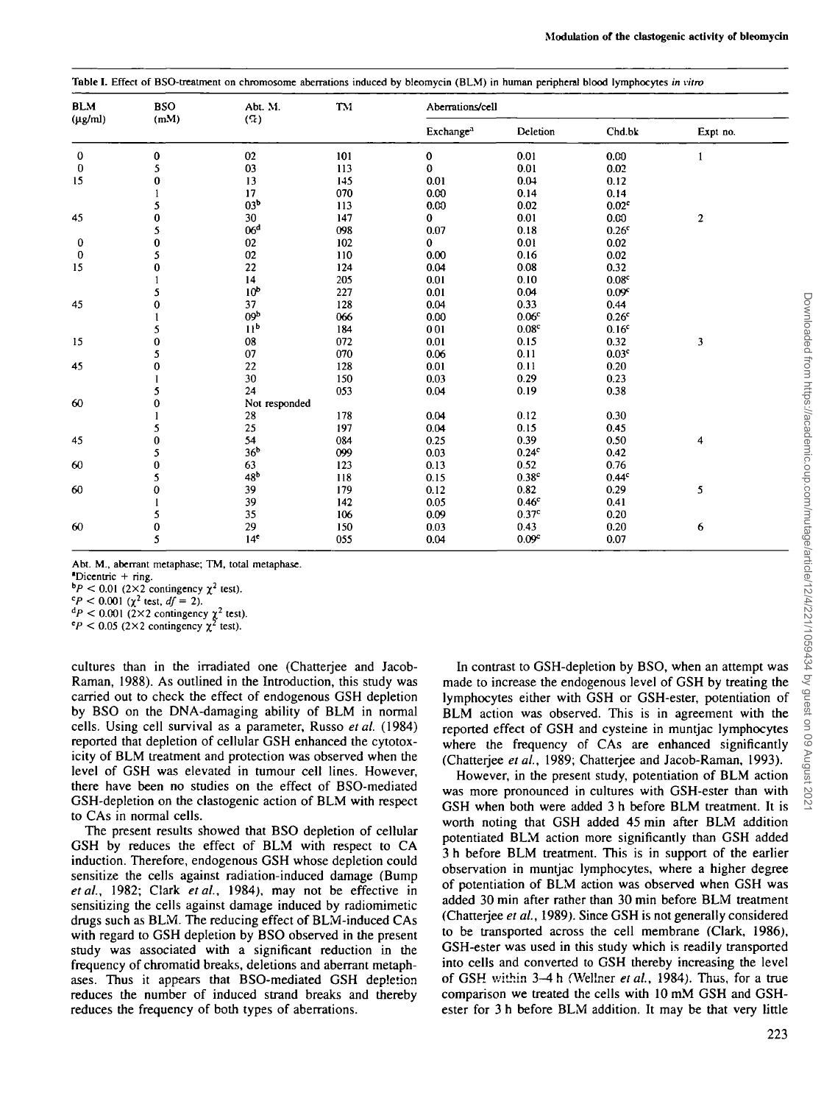| <b>BLM</b>   | <b>BSO</b> | Abt. M.         | TM  | Aberrations/cell      |                   |                   |                  |  |  |  |
|--------------|------------|-----------------|-----|-----------------------|-------------------|-------------------|------------------|--|--|--|
| $(\mu g/ml)$ | (mM)       | $($ %)          |     | Exchange <sup>3</sup> | Deletion          | Chd.bk            | Expt no.         |  |  |  |
| $\bf{0}$     | 0          | 02              | 101 | 0                     | 0.01              | 0.00              | $\mathbf{1}$     |  |  |  |
| 0            | 5          | 03              | 113 | 0                     | 0.01              | 0.02              |                  |  |  |  |
| 15           | $\bf{0}$   | 13              | 145 | 0.01                  | 0.04              | 0.12              |                  |  |  |  |
|              |            | 17              | 070 | 0.00                  | 0.14              | 0.14              |                  |  |  |  |
|              | 5          | 03 <sup>b</sup> | 113 | 0.00                  | 0.02              | 0.02 <sup>c</sup> |                  |  |  |  |
| 45           | $\bf{0}$   | 30              | 147 | 0                     | 0.01              | 0.00              | $\boldsymbol{2}$ |  |  |  |
|              | 5          | 06 <sup>d</sup> | 098 | 0.07                  | 0.18              | 0.26 <sup>c</sup> |                  |  |  |  |
| 0            | $\bf{0}$   | 02              | 102 | $\mathbf{0}$          | 0.01              | 0.02              |                  |  |  |  |
| $\bf{0}$     | 5          | 02              | 110 | 0.00                  | 0.16              | 0.02              |                  |  |  |  |
| 15           | $\bf{0}$   | 22              | 124 | 0.04                  | 0.08              | 0.32              |                  |  |  |  |
|              | 1          | 14              | 205 | 0.01                  | 0.10              | 0.08 <sup>c</sup> |                  |  |  |  |
|              | 5          | 10 <sup>b</sup> | 227 | 0.01                  | 0.04              | 0.09 <sup>c</sup> |                  |  |  |  |
| 45           | 0          | 37              | 128 | 0.04                  | 0.33              | 0.44              |                  |  |  |  |
|              |            | 09 <sub>p</sub> | 066 | 0.00                  | 0.06 <sup>c</sup> | 0.26 <sup>c</sup> |                  |  |  |  |
|              | 5          | 11 <sup>b</sup> | 184 | 001                   | 0.08 <sup>c</sup> | 0.16 <sup>c</sup> |                  |  |  |  |
| 15           | 0          | 08              | 072 | 0.01                  | 0.15              | 0.32              | 3                |  |  |  |
|              | 5          | 07              | 070 | 0.06                  | 0.11              | 0.03 <sup>c</sup> |                  |  |  |  |
| 45           | 0          | 22              | 128 | 0.01                  | 0.11              | 0.20              |                  |  |  |  |
|              |            | 30              | 150 | 0.03                  | 0.29              | 0.23              |                  |  |  |  |
|              | 5          | 24              | 053 | 0.04                  | 0.19              | 0.38              |                  |  |  |  |
| 60           | $\bf{0}$   | Not responded   |     |                       |                   |                   |                  |  |  |  |
|              |            | 28              | 178 | 0.04                  | 0.12              | 0.30              |                  |  |  |  |
|              | 5          | 25              | 197 | 0.04                  | 0.15              | 0.45              |                  |  |  |  |
| 45           | $\bf{0}$   | 54              | 084 | 0.25                  | 0.39              | 0.50              | 4                |  |  |  |
|              | 5          | 36 <sup>b</sup> | 099 | 0.03                  | 0.24 <sup>c</sup> | 0.42              |                  |  |  |  |
| 60           | $\bf{0}$   | 63              | 123 | 0.13                  | 0.52              | 0.76              |                  |  |  |  |
|              | 5          | 48 <sup>b</sup> | 118 | 0.15                  | 0.38 <sup>c</sup> | 0.44 <sup>c</sup> |                  |  |  |  |
| 60           | $\bf{0}$   | 39              | 179 | 0.12                  | 0.82              | 0.29              | 5                |  |  |  |
|              |            | 39              | 142 | 0.05                  | 0.46 <sup>c</sup> | 0.41              |                  |  |  |  |
|              | 5          | 35              | 106 | 0.09                  | 0.37 <sup>c</sup> | 0.20              |                  |  |  |  |
| 60           | $\pmb{0}$  | 29              | 150 | 0.03                  | 0.43              | 0.20              | 6                |  |  |  |
|              | 5          | 14 <sup>c</sup> | 055 | 0.04                  | 0.09 <sup>c</sup> | 0.07              |                  |  |  |  |

Abt. M., aberrant metaphase; TM, total metaphase.

'Dicentric + ring.

 $bP < 0.01$  (2×2 contingency  $\chi^2$  test).

 $c_P < 0.001$  ( $\chi^2$  test,  $df = 2$ ).

 $\alpha^d P < 0.001$  (2×2 contingency  $\chi^2$  test).

 $c_P < 0.05$  (2×2 contingency  $\chi^2$  test).

cultures than in the irradiated one (Chatterjee and Jacob-Raman, 1988). As outlined in the Introduction, this study was carried out to check the effect of endogenous GSH depletion by BSO on the DNA-damaging ability of BLM in normal cells. Using cell survival as a parameter, Russo *etal.* (1984) reported that depletion of cellular GSH enhanced the cytotoxicity of BLM treatment and protection was observed when the level of GSH was elevated in tumour cell lines. However, there have been no studies on the effect of BSO-mediated GSH-depletion on the clastogenic action of BLM with respect to CAs in normal cells.

The present results showed that BSO depletion of cellular GSH by reduces the effect of BLM with respect to CA induction. Therefore, endogenous GSH whose depletion could sensitize the cells against radiation-induced damage (Bump *etal,* 1982; Clark *etal,* 1984), may not be effective in sensitizing the cells against damage induced by radiomimetic drugs such as BLM. The reducing effect of BLM-induced CAs with regard to GSH depletion by BSO observed in the present study was associated with a significant reduction in the frequency of chromatid breaks, deletions and aberrant metaphases. Thus it appears that BSO-mediated GSH depletion reduces the number of induced strand breaks and thereby reduces the frequency of both types of aberrations.

In contrast to GSH-depletion by BSO, when an attempt was made to increase the endogenous level of GSH by treating the lymphocytes either with GSH or GSH-ester, potentiation of BLM action was observed. This is in agreement with the reported effect of GSH and cysteine in muntjac lymphocytes where the frequency of CAs are enhanced significantly (Chatterjee *etal,* 1989; Chatterjee and Jacob-Raman, 1993).

However, in the present study, potentiation of BLM action was more pronounced in cultures with GSH-ester than with GSH when both were added 3 h before BLM treatment. It is worth noting that GSH added 45 min after BLM addition potentiated BLM action more significantly than GSH added 3 h before BLM treatment. This is in support of the earlier observation in muntjac lymphocytes, where a higher degree of potentiation of BLM action was observed when GSH was added 30 min after rather than 30 min before BLM treatment (Chatterjee *et al,* 1989). Since GSH is not generally considered to be transported across the cell membrane (Clark, 1986), GSH-ester was used in this study which is readily transported into cells and converted to GSH thereby increasing the level of GSH within 3-4 h (Wellner et al., 1984). Thus, for a true comparison we treated the cells with 10 mM GSH and GSHester for 3 h before BLM addition. It may be that very little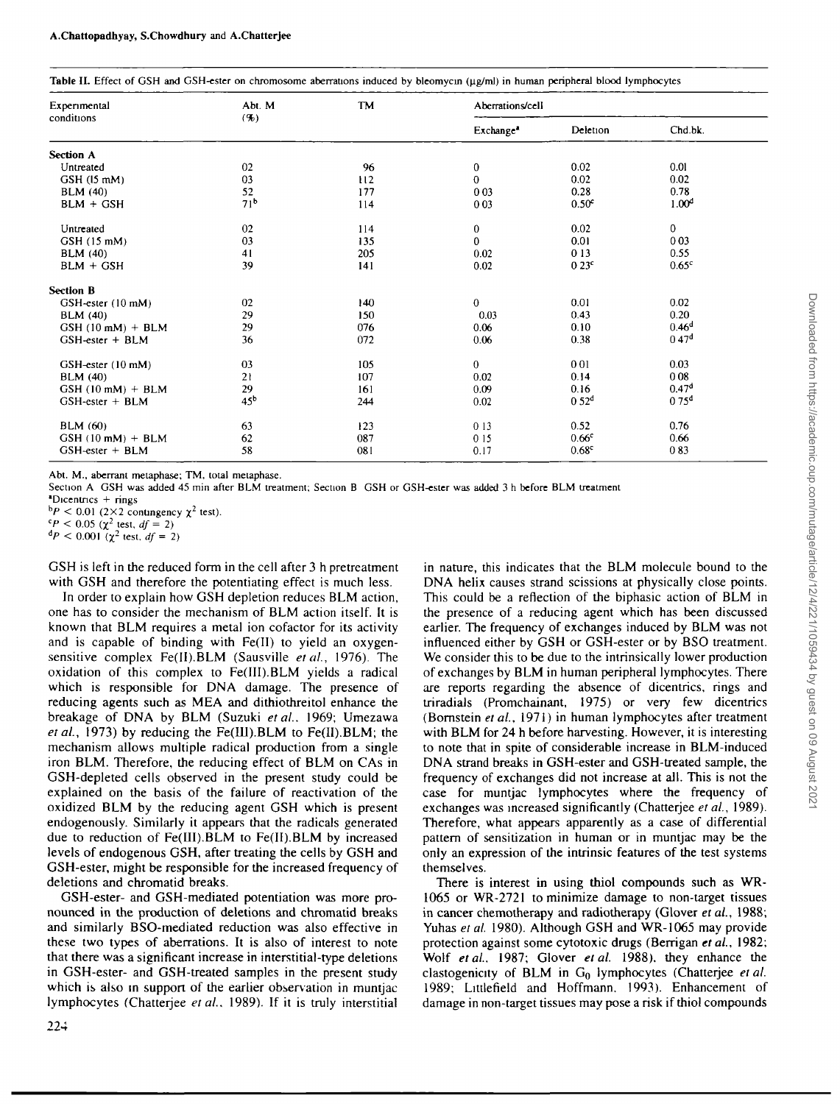| Experimental                | Abt. M            | <b>TM</b> | Aberrations/cell      |                   |                   |  |
|-----------------------------|-------------------|-----------|-----------------------|-------------------|-------------------|--|
| conditions                  | (9 <sub>b</sub> ) |           | Exchange <sup>1</sup> | Deletion          | Chd.bk.           |  |
| Section A                   |                   |           |                       |                   |                   |  |
| Untreated                   | 02                | 96        | $\bf{0}$              | 0.02              | 0.01              |  |
| $GSH$ (15 mM)               | 03                | 112       | $\bf{0}$              | 0.02              | 0.02              |  |
| <b>BLM</b> (40)             | 52                | 177       | 0 0 3                 | 0.28              | 0.78              |  |
| $BLM + GSH$                 | 71 <sup>b</sup>   | 114       | 0 0 3                 | 0.50 <sup>c</sup> | 1.00 <sup>d</sup> |  |
| Untreated                   | 02                | 114       | $\bf{0}$              | 0.02              | $\overline{0}$    |  |
| $GSH$ (15 mM)               | 03                | 135       | $\bf{0}$              | 0.01              | 003               |  |
| <b>BLM</b> (40)             | 41                | 205       | 0.02                  | 013               | 0.55              |  |
| $BLM + GSH$                 | 39                | 141       | 0.02                  | 0.23 <sup>c</sup> | 0.65 <sup>c</sup> |  |
| <b>Section B</b>            |                   |           |                       |                   |                   |  |
| GSH-ester (10 mM)           | 02                | 140       | $\bf{0}$              | 0.01              | 0.02              |  |
| <b>BLM</b> (40)             | 29                | 150       | 0.03                  | 0.43              | 0.20              |  |
| $GSH (10 \text{ mM}) + BLM$ | 29                | 076       | 0.06                  | 0.10              | 0.46 <sup>d</sup> |  |
| GSH-ester + BLM             | 36                | 072       | 0.06                  | 0.38              | 0.47 <sup>d</sup> |  |
| GSH-ester (10 mM)           | 03                | 105       | $\mathbf{0}$          | 001               | 0.03              |  |
| <b>BLM</b> (40)             | 21                | 107       | 0.02                  | 0.14              | 008               |  |
| $GSH (10 mM) + BLM$         | 29                | 161       | 0.09                  | 0.16              | 0.47 <sup>d</sup> |  |
| GSH-ester + BLM             | 45 <sup>b</sup>   | 244       | 0.02                  | 0.52 <sup>d</sup> | 0.75 <sup>d</sup> |  |
| <b>BLM</b> (60)             | 63                | 123       | 013                   | 0.52              | 0.76              |  |
| $GSH$ (10 mM) + BLM         | 62                | 087       | 015                   | 0.66 <sup>c</sup> | 0.66              |  |
| GSH-ester + BLM             | 58                | 081       | 0.17                  | 0.68 <sup>c</sup> | 083               |  |

Abt. M., aberrant metaphase; TM, total metaphase.

Section A GSH was added 45 min after BLM treatment; Section B GSH or GSH-ester was added 3 h before BLM treatment

 $*$ Dicentrics  $+$  rings

 $\beta P \leq 0.01$  (2×2 contingency  $\chi^2$  test).

 ${}^{CP}$  < 0.05 ( $\chi^2$  test, *df* = 2)<br>  ${}^{d}P$  < 0.001 ( $\chi^2$  test, *df* = 2)

GSH is left in the reduced form in the cell after 3 h pretreatment with GSH and therefore the potentiating effect is much less.

In order to explain how GSH depletion reduces BLM action, one has to consider the mechanism of BLM action itself. It is known that BLM requires a metal ion cofactor for its activity and is capable of binding with Fe(II) to yield an oxygensensitive complex Fe(II).BLM (Sausville et al., 1976). The oxidation of this complex to Fe(III).BLM yields a radical which is responsible for DNA damage. The presence of reducing agents such as MEA and dithiothreitol enhance the breakage of DNA by BLM (Suzuki *etal.* 1969; Umezawa *etai,* 1973) by reducing the Fe(IU).BLM to Fe(II).BLM; the mechanism allows multiple radical production from a single iron BLM. Therefore, the reducing effect of BLM on CAs in GSH-depleted cells observed in the present study could be explained on the basis of the failure of reactivation of the oxidized BLM by the reducing agent GSH which is present endogenously. Similarly it appears that the radicals generated due to reduction of Fe(III).BLM to Fe(II).BLM by increased levels of endogenous GSH, after treating the cells by GSH and GSH-ester, might be responsible for the increased frequency of deletions and chromatid breaks.

GSH-ester- and GSH-mediated potentiation was more pronounced in the production of deletions and chromatid breaks and similarly BSO-mediated reduction was also effective in these two types of aberrations. It is also of interest to note that there was a significant increase in interstitial-type deletions in GSH-ester- and GSH-treated samples in the present study which is also in support of the earlier observation in muntjac lymphocytes (Chatterjee *etal..* 1989). If it is truly interstitial

in nature, this indicates that the BLM molecule bound to the DNA helix causes strand scissions at physically close points. This could be a reflection of the biphasic action of BLM in the presence of a reducing agent which has been discussed earlier. The frequency of exchanges induced by BLM was not influenced either by GSH or GSH-ester or by BSO treatment. We consider this to be due to the intrinsically lower production of exchanges by BLM in human peripheral lymphocytes. There are reports regarding the absence of dicentrics, rings and triradials (Promchainant, 1975) or very few dicentrics (Bornstein *et ai,* 1971) in human lymphocytes after treatment with BLM for 24 h before harvesting. However, it is interesting to note that in spite of considerable increase in BLM-induced DNA strand breaks in GSH-ester and GSH-treated sample, the frequency of exchanges did not increase at all. This is not the case for muntjac lymphocytes where the frequency of exchanges was increased significantly (Chatterjee *et ai,* 1989). Therefore, what appears apparently as a case of differential pattern of sensitization in human or in muntjac may be the only an expression of the intrinsic features of the test systems themselves.

There is interest in using thiol compounds such as WR-1065 or WR-2721 to minimize damage to non-target tissues in cancer chemotherapy and radiotherapy (Glover *et ai,* 1988; Yuhas et al. 1980). Although GSH and WR-1065 may provide protection against some cytotoxic drugs (Berrigan *et ai,* 1982; Wolf *etai.* 1987; Glover *etal.* 1988). they enhance the clastogenicity of BLM in Go lymphocytes (Chatterjee *et ai* 1989; Littlefield and Hoffmann. 1993). Enhancement of damage in non-target tissues may pose a risk if thiol compounds